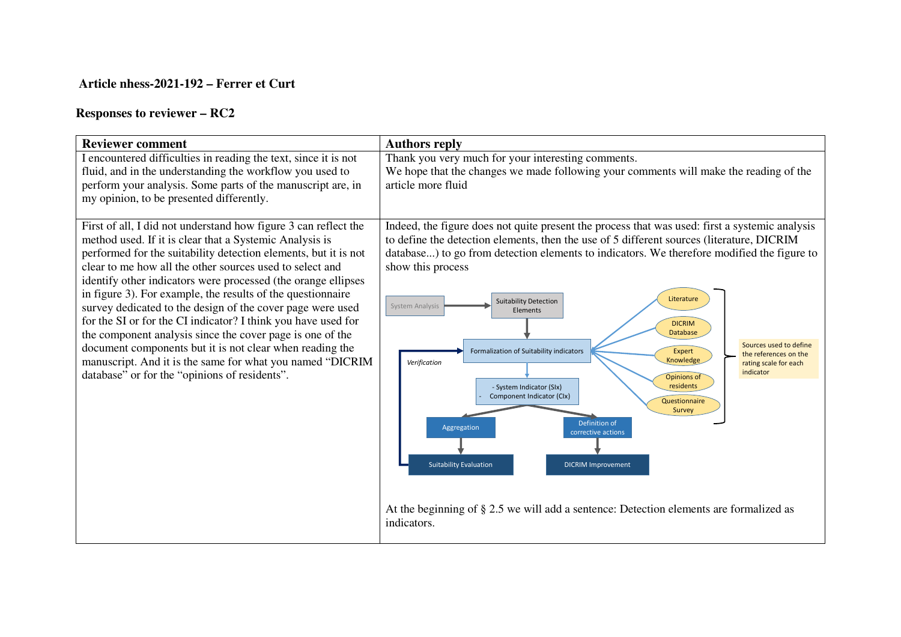## **Article nhess-2021-192 – Ferrer et Curt**

## **Responses to reviewer – RC2**

| <b>Reviewer comment</b>                                                                                                                                                                                                                                                                                                                                                                                                                                                                                                                                                                                                                                                                                                                                         | <b>Authors reply</b>                                                                                                                                                                                                                                                                                                                                                                                                                                                                                                                                                                                                                                                                                                                                                                                                                                                                                                                                                  |
|-----------------------------------------------------------------------------------------------------------------------------------------------------------------------------------------------------------------------------------------------------------------------------------------------------------------------------------------------------------------------------------------------------------------------------------------------------------------------------------------------------------------------------------------------------------------------------------------------------------------------------------------------------------------------------------------------------------------------------------------------------------------|-----------------------------------------------------------------------------------------------------------------------------------------------------------------------------------------------------------------------------------------------------------------------------------------------------------------------------------------------------------------------------------------------------------------------------------------------------------------------------------------------------------------------------------------------------------------------------------------------------------------------------------------------------------------------------------------------------------------------------------------------------------------------------------------------------------------------------------------------------------------------------------------------------------------------------------------------------------------------|
| I encountered difficulties in reading the text, since it is not<br>fluid, and in the understanding the workflow you used to<br>perform your analysis. Some parts of the manuscript are, in<br>my opinion, to be presented differently.                                                                                                                                                                                                                                                                                                                                                                                                                                                                                                                          | Thank you very much for your interesting comments.<br>We hope that the changes we made following your comments will make the reading of the<br>article more fluid                                                                                                                                                                                                                                                                                                                                                                                                                                                                                                                                                                                                                                                                                                                                                                                                     |
| First of all, I did not understand how figure 3 can reflect the<br>method used. If it is clear that a Systemic Analysis is<br>performed for the suitability detection elements, but it is not<br>clear to me how all the other sources used to select and<br>identify other indicators were processed (the orange ellipses<br>in figure 3). For example, the results of the questionnaire<br>survey dedicated to the design of the cover page were used<br>for the SI or for the CI indicator? I think you have used for<br>the component analysis since the cover page is one of the<br>document components but it is not clear when reading the<br>manuscript. And it is the same for what you named "DICRIM<br>database" or for the "opinions of residents". | Indeed, the figure does not quite present the process that was used: first a systemic analysis<br>to define the detection elements, then the use of 5 different sources (literature, DICRIM<br>database) to go from detection elements to indicators. We therefore modified the figure to<br>show this process<br>Literature<br><b>Suitability Detection</b><br><b>System Analysis</b><br>Elements<br><b>DICRIM</b><br><b>Database</b><br>Sources used to define<br>Formalization of Suitability indicators<br><b>Expert</b><br>the references on the<br>Knowledge<br>Verification<br>rating scale for each<br>indicator<br>Opinions of<br>- System Indicator (SIx)<br>residents<br>Component Indicator (Clx)<br>Questionnaire<br>Survey<br>Definition of<br>Aggregation<br>corrective actions<br><b>Suitability Evaluation</b><br><b>DICRIM Improvement</b><br>At the beginning of § 2.5 we will add a sentence: Detection elements are formalized as<br>indicators. |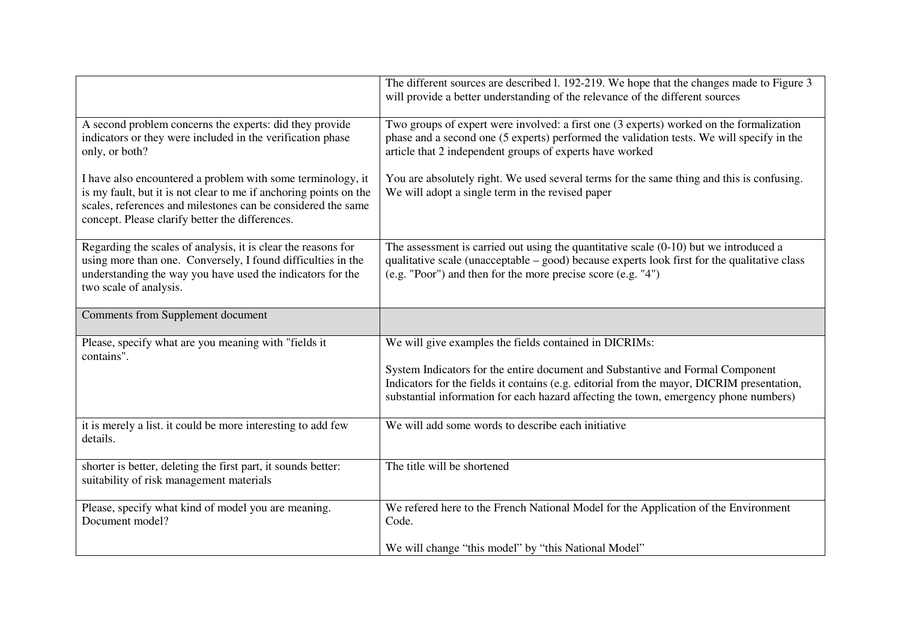|                                                                                                                                                                                                                                                     | The different sources are described 1. 192-219. We hope that the changes made to Figure 3<br>will provide a better understanding of the relevance of the different sources                                                                                                                                                     |
|-----------------------------------------------------------------------------------------------------------------------------------------------------------------------------------------------------------------------------------------------------|--------------------------------------------------------------------------------------------------------------------------------------------------------------------------------------------------------------------------------------------------------------------------------------------------------------------------------|
| A second problem concerns the experts: did they provide<br>indicators or they were included in the verification phase<br>only, or both?                                                                                                             | Two groups of expert were involved: a first one (3 experts) worked on the formalization<br>phase and a second one (5 experts) performed the validation tests. We will specify in the<br>article that 2 independent groups of experts have worked                                                                               |
| I have also encountered a problem with some terminology, it<br>is my fault, but it is not clear to me if anchoring points on the<br>scales, references and milestones can be considered the same<br>concept. Please clarify better the differences. | You are absolutely right. We used several terms for the same thing and this is confusing.<br>We will adopt a single term in the revised paper                                                                                                                                                                                  |
| Regarding the scales of analysis, it is clear the reasons for<br>using more than one. Conversely, I found difficulties in the<br>understanding the way you have used the indicators for the<br>two scale of analysis.                               | The assessment is carried out using the quantitative scale $(0-10)$ but we introduced a<br>qualitative scale (unacceptable - good) because experts look first for the qualitative class<br>(e.g. "Poor") and then for the more precise score (e.g. "4")                                                                        |
| Comments from Supplement document                                                                                                                                                                                                                   |                                                                                                                                                                                                                                                                                                                                |
| Please, specify what are you meaning with "fields it<br>contains".                                                                                                                                                                                  | We will give examples the fields contained in DICRIMs:<br>System Indicators for the entire document and Substantive and Formal Component<br>Indicators for the fields it contains (e.g. editorial from the mayor, DICRIM presentation,<br>substantial information for each hazard affecting the town, emergency phone numbers) |
| it is merely a list. it could be more interesting to add few<br>details.                                                                                                                                                                            | We will add some words to describe each initiative                                                                                                                                                                                                                                                                             |
| shorter is better, deleting the first part, it sounds better:<br>suitability of risk management materials                                                                                                                                           | The title will be shortened                                                                                                                                                                                                                                                                                                    |
| Please, specify what kind of model you are meaning.<br>Document model?                                                                                                                                                                              | We refered here to the French National Model for the Application of the Environment<br>Code.                                                                                                                                                                                                                                   |
|                                                                                                                                                                                                                                                     | We will change "this model" by "this National Model"                                                                                                                                                                                                                                                                           |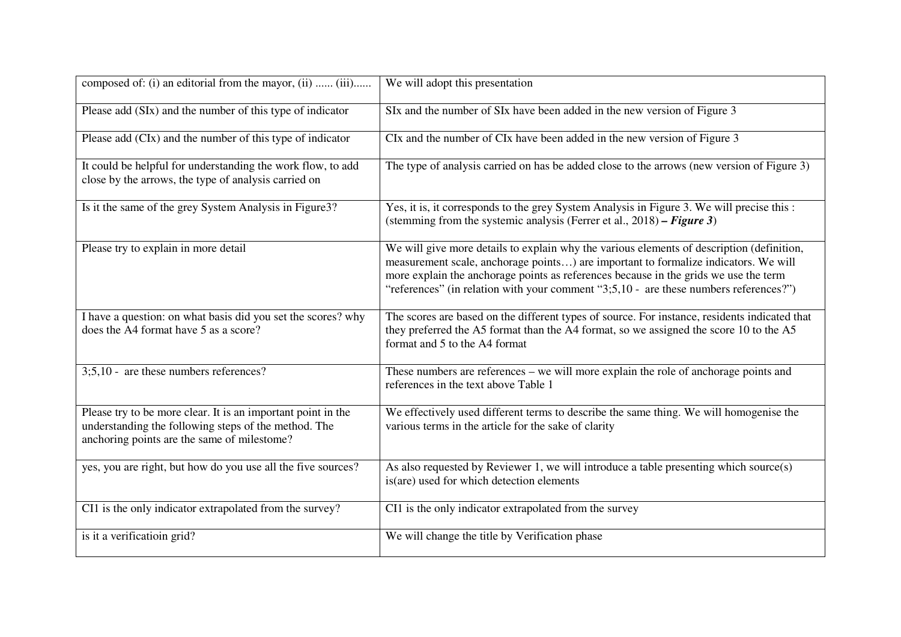| composed of: (i) an editorial from the mayor, (ii)  (iii)                                                                                                           | We will adopt this presentation                                                                                                                                                                                                                                                                                                                                   |
|---------------------------------------------------------------------------------------------------------------------------------------------------------------------|-------------------------------------------------------------------------------------------------------------------------------------------------------------------------------------------------------------------------------------------------------------------------------------------------------------------------------------------------------------------|
| Please add (SIx) and the number of this type of indicator                                                                                                           | SIx and the number of SIx have been added in the new version of Figure 3                                                                                                                                                                                                                                                                                          |
| Please add (CIx) and the number of this type of indicator                                                                                                           | CIx and the number of CIx have been added in the new version of Figure 3                                                                                                                                                                                                                                                                                          |
| It could be helpful for understanding the work flow, to add<br>close by the arrows, the type of analysis carried on                                                 | The type of analysis carried on has be added close to the arrows (new version of Figure 3)                                                                                                                                                                                                                                                                        |
| Is it the same of the grey System Analysis in Figure 3?                                                                                                             | Yes, it is, it corresponds to the grey System Analysis in Figure 3. We will precise this :<br>(stemming from the systemic analysis (Ferrer et al., $2018$ ) – Figure 3)                                                                                                                                                                                           |
| Please try to explain in more detail                                                                                                                                | We will give more details to explain why the various elements of description (definition,<br>measurement scale, anchorage points) are important to formalize indicators. We will<br>more explain the anchorage points as references because in the grids we use the term<br>"references" (in relation with your comment "3;5,10 - are these numbers references?") |
| I have a question: on what basis did you set the scores? why<br>does the A4 format have 5 as a score?                                                               | The scores are based on the different types of source. For instance, residents indicated that<br>they preferred the A5 format than the A4 format, so we assigned the score 10 to the A5<br>format and 5 to the A4 format                                                                                                                                          |
| $3,5,10$ - are these numbers references?                                                                                                                            | These numbers are references – we will more explain the role of anchorage points and<br>references in the text above Table 1                                                                                                                                                                                                                                      |
| Please try to be more clear. It is an important point in the<br>understanding the following steps of the method. The<br>anchoring points are the same of milestome? | We effectively used different terms to describe the same thing. We will homogenise the<br>various terms in the article for the sake of clarity                                                                                                                                                                                                                    |
| yes, you are right, but how do you use all the five sources?                                                                                                        | As also requested by Reviewer 1, we will introduce a table presenting which source(s)<br>is (are) used for which detection elements                                                                                                                                                                                                                               |
| CI1 is the only indicator extrapolated from the survey?                                                                                                             | CI1 is the only indicator extrapolated from the survey                                                                                                                                                                                                                                                                                                            |
| is it a verificatioin grid?                                                                                                                                         | We will change the title by Verification phase                                                                                                                                                                                                                                                                                                                    |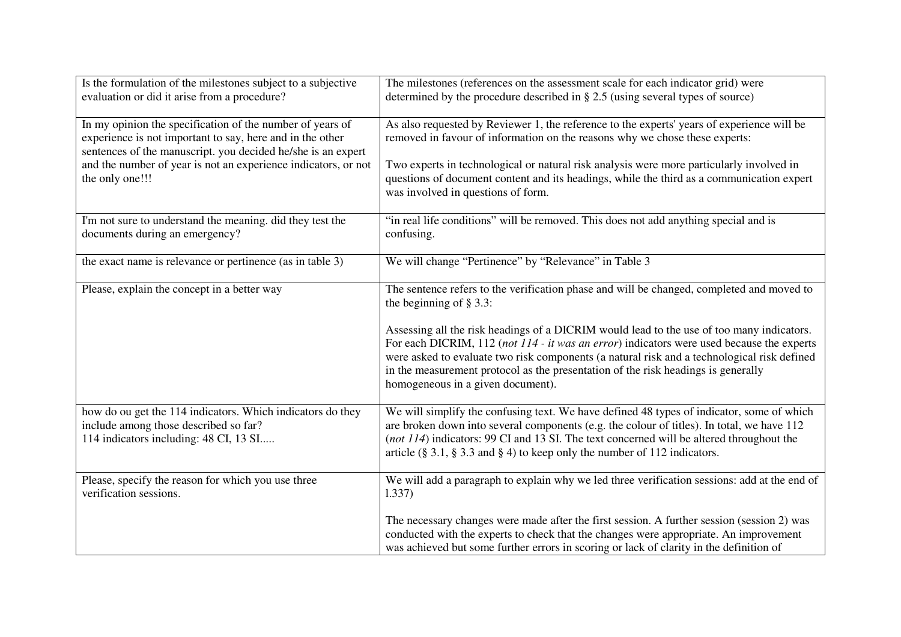| Is the formulation of the milestones subject to a subjective                                                                                                                           | The milestones (references on the assessment scale for each indicator grid) were                                                                                                                                                                                                                                                                                                                                |
|----------------------------------------------------------------------------------------------------------------------------------------------------------------------------------------|-----------------------------------------------------------------------------------------------------------------------------------------------------------------------------------------------------------------------------------------------------------------------------------------------------------------------------------------------------------------------------------------------------------------|
| evaluation or did it arise from a procedure?                                                                                                                                           | determined by the procedure described in $\S 2.5$ (using several types of source)                                                                                                                                                                                                                                                                                                                               |
| In my opinion the specification of the number of years of<br>experience is not important to say, here and in the other<br>sentences of the manuscript. you decided he/she is an expert | As also requested by Reviewer 1, the reference to the experts' years of experience will be<br>removed in favour of information on the reasons why we chose these experts:                                                                                                                                                                                                                                       |
| and the number of year is not an experience indicators, or not<br>the only one!!!                                                                                                      | Two experts in technological or natural risk analysis were more particularly involved in<br>questions of document content and its headings, while the third as a communication expert<br>was involved in questions of form.                                                                                                                                                                                     |
| I'm not sure to understand the meaning. did they test the<br>documents during an emergency?                                                                                            | "in real life conditions" will be removed. This does not add anything special and is<br>confusing.                                                                                                                                                                                                                                                                                                              |
| the exact name is relevance or pertinence (as in table 3)                                                                                                                              | We will change "Pertinence" by "Relevance" in Table 3                                                                                                                                                                                                                                                                                                                                                           |
| Please, explain the concept in a better way                                                                                                                                            | The sentence refers to the verification phase and will be changed, completed and moved to<br>the beginning of $\S$ 3.3:                                                                                                                                                                                                                                                                                         |
|                                                                                                                                                                                        | Assessing all the risk headings of a DICRIM would lead to the use of too many indicators.<br>For each DICRIM, 112 (not 114 - it was an error) indicators were used because the experts<br>were asked to evaluate two risk components (a natural risk and a technological risk defined<br>in the measurement protocol as the presentation of the risk headings is generally<br>homogeneous in a given document). |
| how do ou get the 114 indicators. Which indicators do they<br>include among those described so far?<br>114 indicators including: 48 CI, 13 SI                                          | We will simplify the confusing text. We have defined 48 types of indicator, some of which<br>are broken down into several components (e.g. the colour of titles). In total, we have 112<br>(not 114) indicators: 99 CI and 13 SI. The text concerned will be altered throughout the<br>article (§ 3.1, § 3.3 and § 4) to keep only the number of 112 indicators.                                                |
| Please, specify the reason for which you use three<br>verification sessions.                                                                                                           | We will add a paragraph to explain why we led three verification sessions: add at the end of<br>1.337)                                                                                                                                                                                                                                                                                                          |
|                                                                                                                                                                                        | The necessary changes were made after the first session. A further session (session 2) was<br>conducted with the experts to check that the changes were appropriate. An improvement<br>was achieved but some further errors in scoring or lack of clarity in the definition of                                                                                                                                  |